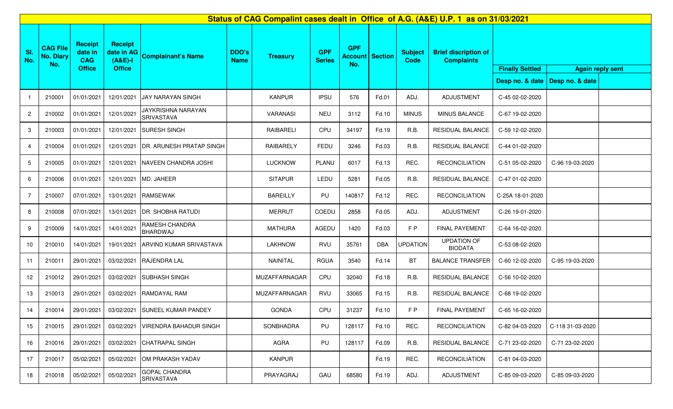| Status of CAG Compalint cases dealt in Office of A.G. (A&E) U.P. 1 as on 31/03/2021 |                                            |                                                          |                                                            |                                                  |                             |                  |                             |                                     |              |                               |                                                  |                        |                                   |                         |
|-------------------------------------------------------------------------------------|--------------------------------------------|----------------------------------------------------------|------------------------------------------------------------|--------------------------------------------------|-----------------------------|------------------|-----------------------------|-------------------------------------|--------------|-------------------------------|--------------------------------------------------|------------------------|-----------------------------------|-------------------------|
| SI.<br>No.                                                                          | <b>CAG File</b><br><b>No. Diary</b><br>No. | <b>Receipt</b><br>date in<br><b>CAG</b><br><b>Office</b> | <b>Receipt</b><br>date in AG<br>$(A&E)-I$<br><b>Office</b> | <b>Complainant's Name</b>                        | <b>DDO's</b><br><b>Name</b> | <b>Treasury</b>  | <b>GPF</b><br><b>Series</b> | <b>GPF</b><br><b>Account</b><br>No. | Section      | <b>Subject</b><br><b>Code</b> | <b>Brief discription of</b><br><b>Complaints</b> |                        |                                   |                         |
|                                                                                     |                                            |                                                          |                                                            |                                                  |                             |                  |                             |                                     |              |                               |                                                  | <b>Finally Settled</b> | Desp no. & date   Desp no. & date | <b>Again reply sent</b> |
| $\overline{1}$                                                                      | 210001                                     | 01/01/2021                                               | 12/01/2021                                                 | <b>JAY NARAYAN SINGH</b>                         |                             | <b>KANPUR</b>    | <b>IPSU</b>                 | 576                                 | Fd.01        | ADJ.                          | <b>ADJUSTMENT</b>                                | C-45 02-02-2020        |                                   |                         |
| $\overline{2}$                                                                      | 210002                                     | 01/01/2021                                               | 12/01/2021                                                 | JAYKRISHNA NARAYAN<br><b>SRIVASTAVA</b>          |                             | VARANASI         | <b>NEU</b>                  | 3112                                | Fd.10        | <b>MINUS</b>                  | MINUS BALANCE                                    | C-67 19-02-2020        |                                   |                         |
| 3                                                                                   | 210003                                     | 01/01/2021                                               | 12/01/2021                                                 | <b>SURESH SINGH</b>                              |                             | <b>RAIBARELI</b> | CPU                         | 34197                               | Fd.19        | R.B.                          | RESIDUAL BALANCE                                 | C-59 12-02-2020        |                                   |                         |
| 4                                                                                   | 210004                                     | 01/01/2021                                               | 12/01/2021                                                 | DR. ARUNESH PRATAP SINGH                         |                             | RAIBARELY        | FEDU                        | 3246                                | Fd.03        | R.B.                          | RESIDUAL BALANCE                                 | C-44 01-02-2020        |                                   |                         |
| 5                                                                                   | 210005                                     | 01/01/2021                                               | 12/01/2021                                                 | <b>INAVEEN CHANDRA JOSHI</b>                     |                             | <b>LUCKNOW</b>   | PLANU                       | 6017                                | Fd.13        | REC.                          | <b>RECONCILIATION</b>                            | C-51 05-02-2020        | C-96 19-03-2020                   |                         |
| 6                                                                                   | 210006                                     | 01/01/2021                                               | 12/01/2021                                                 | MD. JAHEER                                       |                             | <b>SITAPUR</b>   | LEDU                        | 5281                                | Fd.05        | R.B.                          | RESIDUAL BALANCE                                 | C-47 01-02-2020        |                                   |                         |
| $\overline{7}$                                                                      | 210007                                     | 07/01/2021                                               | 13/01/2021                                                 | <b>RAMSEWAK</b>                                  |                             | <b>BAREILLY</b>  | PU                          | 140817                              | Fd.12        | REC.                          | <b>RECONCILIATION</b>                            | C-25A 18-01-2020       |                                   |                         |
| 8                                                                                   | 210008                                     | 07/01/2021                                               | 13/01/2021                                                 | <b>DR. SHOBHA RATUDI</b>                         |                             | <b>MERRUT</b>    | COEDU                       | 2858                                | Fd.05        | ADJ.                          | <b>ADJUSTMENT</b>                                | C-26 19-01-2020        |                                   |                         |
| 9                                                                                   | 210009                                     | 14/01/2021                                               | 14/01/2021                                                 | RAMESH CHANDRA<br>BHARDWAJ                       |                             | <b>MATHURA</b>   | AGEDU                       | 1420                                | Fd.03        | FP                            | <b>FINAL PAYEMENT</b>                            | C-64 16-02-2020        |                                   |                         |
| 10                                                                                  | 210010                                     | 14/01/2021                                               | 19/01/2021                                                 | ARVIND KUMAR SRIVASTAVA                          |                             | <b>LAKHNOW</b>   | RVU                         | 35761                               | <b>DBA</b>   | <b>UPDATION</b>               | <b>UPDATION OF</b><br><b>BIODATA</b>             | C-53 08-02-2020        |                                   |                         |
| 11                                                                                  | 210011                                     | 29/01/2021                                               | 03/02/2021                                                 | <b>RAJENDRA LAL</b>                              |                             | NAINITAL         | <b>RGUA</b>                 | 3540                                | Fd.14        | BT                            | <b>BALANCE TRANSFER</b>                          | C-60 12-02-2020        | C-95 19-03-2020                   |                         |
| 12                                                                                  | 210012                                     | 29/01/2021                                               | 03/02/2021                                                 | <b>SUBHASH SINGH</b>                             |                             | MUZAFFARNAGAR    | CPU                         | 32040                               | <b>Fd.18</b> | R.B.                          | RESIDUAL BALANCE                                 | C-56 10-02-2020        |                                   |                         |
| 13                                                                                  | 210013                                     | 29/01/2021                                               | 03/02/2021                                                 | RAMDAYAL RAM                                     |                             | MUZAFFARNAGAR    | RVU                         | 33065                               | Fd.15        | R.B.                          | RESIDUAL BALANCE                                 | C-68 19-02-2020        |                                   |                         |
| 14                                                                                  |                                            |                                                          |                                                            | 210014 29/01/2021 03/02/2021 SUNEEL KUMAR PANDEY |                             | <b>GONDA</b>     | CPU                         | 31237                               | Fd.10        | FP                            | FINAL PAYEMENT                                   | C-65 16-02-2020        |                                   |                         |
| 15                                                                                  | 210015                                     | 29/01/2021                                               | 03/02/2021                                                 | VIRENDRA BAHADUR SINGH                           |                             | SONBHADRA        | PU                          | 128117                              | Fd.10        | REC.                          | <b>RECONCILIATION</b>                            | C-82 04-03-2020        | C-118 31-03-2020                  |                         |
| 16                                                                                  | 210016                                     | 29/01/2021                                               | 03/02/2021                                                 | <b>CHATRAPAL SINGH</b>                           |                             | AGRA             | PU                          | 128117                              | Fd.09        | R.B.                          | RESIDUAL BALANCE                                 | C-71 23-02-2020        | C-71 23-02-2020                   |                         |
| 17                                                                                  | 210017                                     | 05/02/2021                                               | 05/02/2021                                                 | OM PRAKASH YADAV                                 |                             | <b>KANPUR</b>    |                             |                                     | Fd.19        | REC.                          | <b>RECONCILIATION</b>                            | C-81 04-03-2020        |                                   |                         |
| 18                                                                                  | 210018                                     | 05/02/2021                                               | 05/02/2021                                                 | <b>GOPAL CHANDRA</b><br><b>SRIVASTAVA</b>        |                             | PRAYAGRAJ        | GAU                         | 68580                               | Fd.19        | ADJ.                          | ADJUSTMENT                                       | C-85 09-03-2020        | C-85 09-03-2020                   |                         |